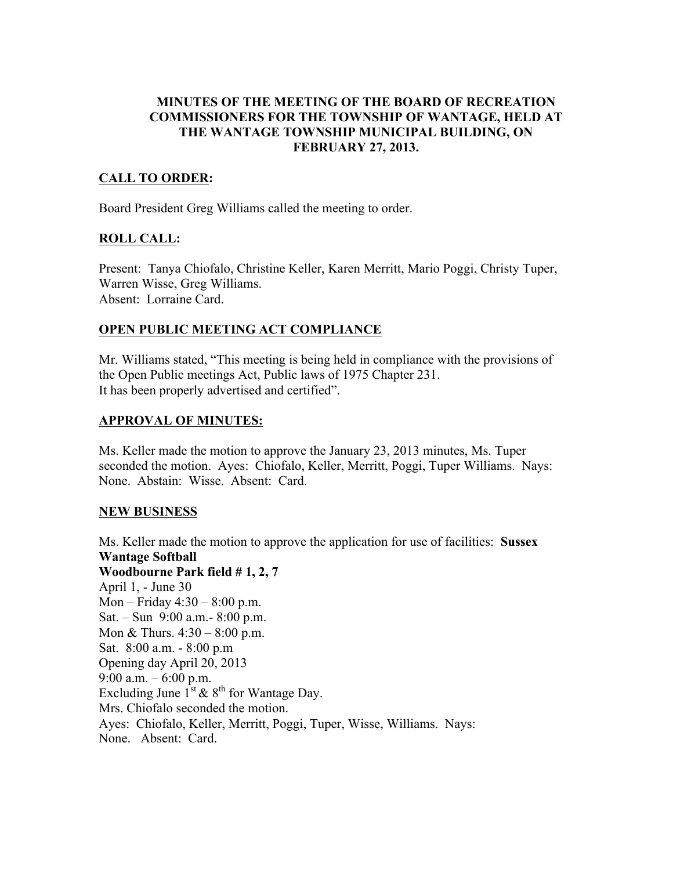## MINUTES OF THE MEETING OF THE BOARD OF RECREATION COMMISSIONERS FOR THE TOWNSHIP OF WANTAGE, HELD AT THE WANTAGE TOWNSHIP MUNICIPAL BUILDING, ON FEBRUARY 27, 2013.

# CALL TO ORDER:

Board President Greg Williams called the meeting to order.

## ROLL CALL:

Present: Tanya Chiofalo, Christine Keller, Karen Merritt, Mario Poggi, Christy Tuper, Warren Wisse, Greg Williams. Absent: Lorraine Card.

# OPEN PUBLIC MEETING ACT COMPLIANCE

Mr. Williams stated, "This meeting is being held in compliance with the provisions of the Open Public meetings Act, Public laws of 1975 Chapter 231. It has been properly advertised and certified".

## APPROVAL OF MINUTES:

Ms. Keller made the motion to approve the January 23, 2013 minutes, Ms. Tuper seconded the motion. Ayes: Chiofalo, Keller, Merritt, Poggi, Tuper Williams. Nays: None. Abstain: Wisse. Absent: Card.

## NEW BUSINESS

Ms. Keller made the motion to approve the application for use of facilities: Sussex Wantage Softball Woodbourne Park field # 1, 2, 7 April 1, - June 30 Mon – Friday 4:30 – 8:00 p.m. Sat. – Sun 9:00 a.m.- 8:00 p.m. Mon & Thurs. 4:30 – 8:00 p.m. Sat. 8:00 a.m. - 8:00 p.m Opening day April 20, 2013 9:00 a.m.  $-6:00$  p.m. Excluding June  $1^{st}$  &  $8^{th}$  for Wantage Day. Mrs. Chiofalo seconded the motion. Ayes: Chiofalo, Keller, Merritt, Poggi, Tuper, Wisse, Williams. Nays: None. Absent: Card.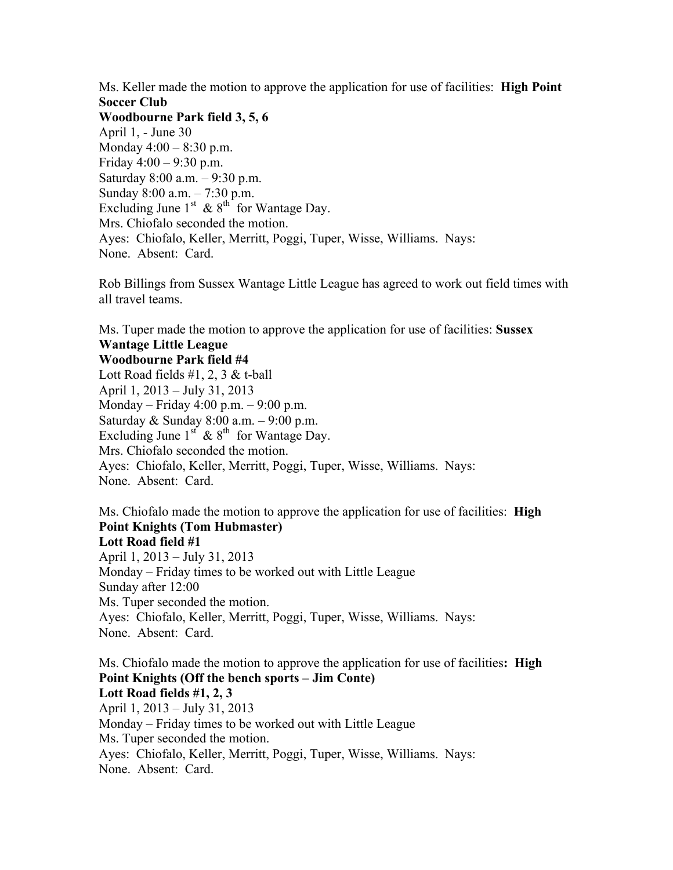Ms. Keller made the motion to approve the application for use of facilities: **High Point** Soccer Club

Woodbourne Park field 3, 5, 6 April 1, - June 30 Monday 4:00 – 8:30 p.m. Friday  $4:00 - 9:30$  p.m. Saturday 8:00 a.m. – 9:30 p.m. Sunday 8:00 a.m. – 7:30 p.m. Excluding June  $1<sup>st</sup>$  &  $8<sup>th</sup>$  for Wantage Day. Mrs. Chiofalo seconded the motion. Ayes: Chiofalo, Keller, Merritt, Poggi, Tuper, Wisse, Williams. Nays: None. Absent: Card.

Rob Billings from Sussex Wantage Little League has agreed to work out field times with all travel teams.

Ms. Tuper made the motion to approve the application for use of facilities: Sussex Wantage Little League

#### Woodbourne Park field #4

Lott Road fields  $#1, 2, 3 \& t$ -ball April 1, 2013 – July 31, 2013 Monday – Friday 4:00 p.m. – 9:00 p.m. Saturday & Sunday 8:00 a.m. – 9:00 p.m. Excluding June  $1^{st}$  &  $8^{th}$  for Wantage Day. Mrs. Chiofalo seconded the motion. Ayes: Chiofalo, Keller, Merritt, Poggi, Tuper, Wisse, Williams. Nays: None. Absent: Card.

Ms. Chiofalo made the motion to approve the application for use of facilities: **High** Point Knights (Tom Hubmaster) Lott Road field #1 April 1, 2013 – July 31, 2013

Monday – Friday times to be worked out with Little League Sunday after 12:00 Ms. Tuper seconded the motion. Ayes: Chiofalo, Keller, Merritt, Poggi, Tuper, Wisse, Williams. Nays: None. Absent: Card.

Ms. Chiofalo made the motion to approve the application for use of facilities: High Point Knights (Off the bench sports – Jim Conte) Lott Road fields #1, 2, 3 April 1, 2013 – July 31, 2013 Monday – Friday times to be worked out with Little League Ms. Tuper seconded the motion. Ayes: Chiofalo, Keller, Merritt, Poggi, Tuper, Wisse, Williams. Nays: None. Absent: Card.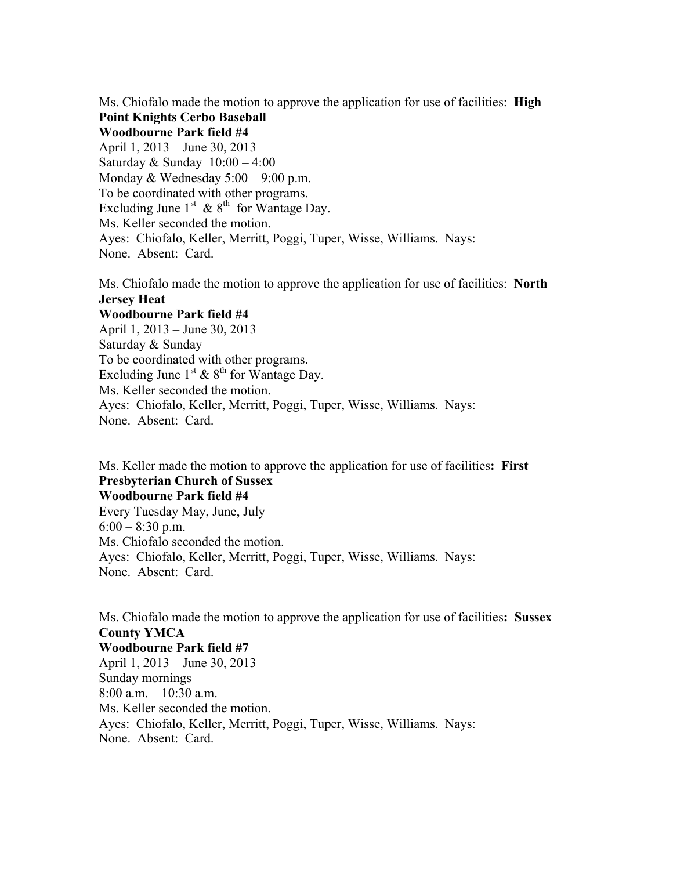Ms. Chiofalo made the motion to approve the application for use of facilities: **High** Point Knights Cerbo Baseball Woodbourne Park field #4 April 1, 2013 – June 30, 2013 Saturday  $&$  Sunday  $10:00 - 4:00$ Monday  $& Wednesday 5:00 - 9:00 p.m.$ To be coordinated with other programs. Excluding June  $1<sup>st</sup>$  &  $8<sup>th</sup>$  for Wantage Day. Ms. Keller seconded the motion. Ayes: Chiofalo, Keller, Merritt, Poggi, Tuper, Wisse, Williams. Nays: None. Absent: Card.

Ms. Chiofalo made the motion to approve the application for use of facilities: North Jersey Heat

#### Woodbourne Park field #4

April 1, 2013 – June 30, 2013 Saturday & Sunday To be coordinated with other programs. Excluding June  $1<sup>st</sup> \& 8<sup>th</sup>$  for Wantage Day. Ms. Keller seconded the motion. Ayes: Chiofalo, Keller, Merritt, Poggi, Tuper, Wisse, Williams. Nays: None. Absent: Card.

Ms. Keller made the motion to approve the application for use of facilities: First Presbyterian Church of Sussex Woodbourne Park field #4

Every Tuesday May, June, July  $6:00 - 8:30$  p.m. Ms. Chiofalo seconded the motion. Ayes: Chiofalo, Keller, Merritt, Poggi, Tuper, Wisse, Williams. Nays: None. Absent: Card.

Ms. Chiofalo made the motion to approve the application for use of facilities: Sussex County YMCA Woodbourne Park field #7 April 1, 2013 – June 30, 2013 Sunday mornings 8:00 a.m. – 10:30 a.m. Ms. Keller seconded the motion. Ayes: Chiofalo, Keller, Merritt, Poggi, Tuper, Wisse, Williams. Nays: None. Absent: Card.